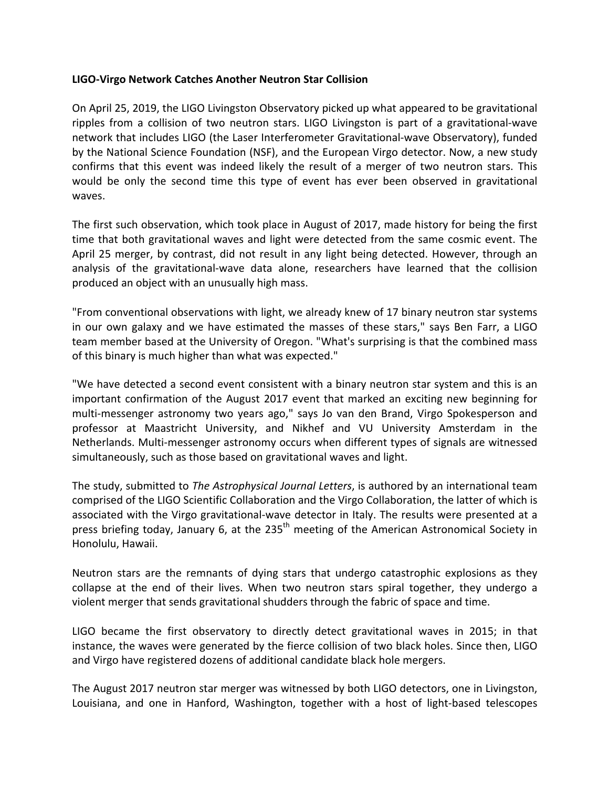## **LIGO-Virgo Network Catches Another Neutron Star Collision**

On April 25, 2019, the LIGO Livingston Observatory picked up what appeared to be gravitational ripples from a collision of two neutron stars. LIGO Livingston is part of a gravitational-wave network that includes LIGO (the Laser Interferometer Gravitational-wave Observatory), funded by the National Science Foundation (NSF), and the European Virgo detector. Now, a new study confirms that this event was indeed likely the result of a merger of two neutron stars. This would be only the second time this type of event has ever been observed in gravitational waves.

The first such observation, which took place in August of 2017, made history for being the first time that both gravitational waves and light were detected from the same cosmic event. The April 25 merger, by contrast, did not result in any light being detected. However, through an analysis of the gravitational-wave data alone, researchers have learned that the collision produced an object with an unusually high mass.

"From conventional observations with light, we already knew of 17 binary neutron star systems in our own galaxy and we have estimated the masses of these stars," says Ben Farr, a LIGO team member based at the University of Oregon. "What's surprising is that the combined mass of this binary is much higher than what was expected."

"We have detected a second event consistent with a binary neutron star system and this is an important confirmation of the August 2017 event that marked an exciting new beginning for multi-messenger astronomy two years ago," says Jo van den Brand, Virgo Spokesperson and professor at Maastricht University, and Nikhef and VU University Amsterdam in the Netherlands. Multi-messenger astronomy occurs when different types of signals are witnessed simultaneously, such as those based on gravitational waves and light.

The study, submitted to *The Astrophysical Journal Letters*, is authored by an international team comprised of the LIGO Scientific Collaboration and the Virgo Collaboration, the latter of which is associated with the Virgo gravitational-wave detector in Italy. The results were presented at a press briefing today, January 6, at the 235<sup>th</sup> meeting of the American Astronomical Society in Honolulu, Hawaii.

Neutron stars are the remnants of dying stars that undergo catastrophic explosions as they collapse at the end of their lives. When two neutron stars spiral together, they undergo a violent merger that sends gravitational shudders through the fabric of space and time.

LIGO became the first observatory to directly detect gravitational waves in 2015; in that instance, the waves were generated by the fierce collision of two black holes. Since then, LIGO and Virgo have registered dozens of additional candidate black hole mergers.

The August 2017 neutron star merger was witnessed by both LIGO detectors, one in Livingston, Louisiana, and one in Hanford, Washington, together with a host of light-based telescopes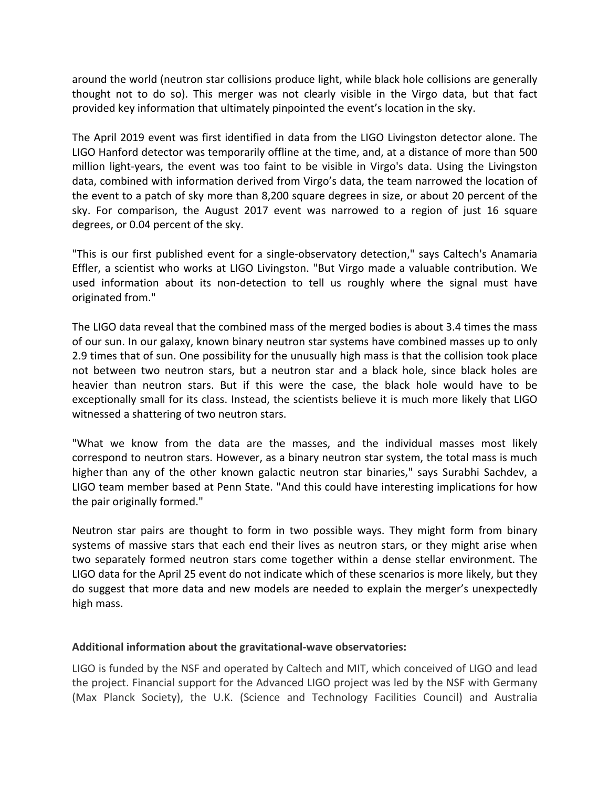around the world (neutron star collisions produce light, while black hole collisions are generally thought not to do so). This merger was not clearly visible in the Virgo data, but that fact provided key information that ultimately pinpointed the event's location in the sky.

The April 2019 event was first identified in data from the LIGO Livingston detector alone. The LIGO Hanford detector was temporarily offline at the time, and, at a distance of more than 500 million light-years, the event was too faint to be visible in Virgo's data. Using the Livingston data, combined with information derived from Virgo's data, the team narrowed the location of the event to a patch of sky more than 8,200 square degrees in size, or about 20 percent of the sky. For comparison, the August 2017 event was narrowed to a region of just 16 square degrees, or 0.04 percent of the sky.

"This is our first published event for a single-observatory detection," says Caltech's Anamaria Effler, a scientist who works at LIGO Livingston. "But Virgo made a valuable contribution. We used information about its non-detection to tell us roughly where the signal must have originated from."

The LIGO data reveal that the combined mass of the merged bodies is about 3.4 times the mass of our sun. In our galaxy, known binary neutron star systems have combined masses up to only 2.9 times that of sun. One possibility for the unusually high mass is that the collision took place not between two neutron stars, but a neutron star and a black hole, since black holes are heavier than neutron stars. But if this were the case, the black hole would have to be exceptionally small for its class. Instead, the scientists believe it is much more likely that LIGO witnessed a shattering of two neutron stars.

"What we know from the data are the masses, and the individual masses most likely correspond to neutron stars. However, as a binary neutron star system, the total mass is much higher than any of the other known galactic neutron star binaries," says Surabhi Sachdev, a LIGO team member based at Penn State. "And this could have interesting implications for how the pair originally formed."

Neutron star pairs are thought to form in two possible ways. They might form from binary systems of massive stars that each end their lives as neutron stars, or they might arise when two separately formed neutron stars come together within a dense stellar environment. The LIGO data for the April 25 event do not indicate which of these scenarios is more likely, but they do suggest that more data and new models are needed to explain the merger's unexpectedly high mass.

## Additional information about the gravitational-wave observatories:

LIGO is funded by the NSF and operated by Caltech and MIT, which conceived of LIGO and lead the project. Financial support for the Advanced LIGO project was led by the NSF with Germany (Max Planck Society), the U.K. (Science and Technology Facilities Council) and Australia